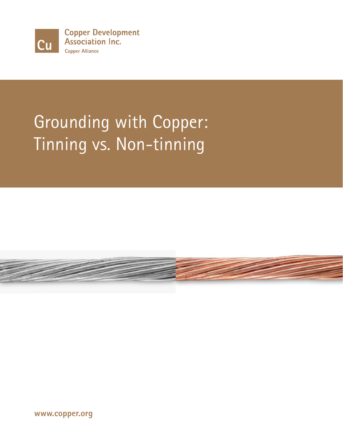

**Copper Development Association Inc. Copper Alliance** 

# Grounding with Copper: Tinning vs. Non-tinning



**www.copper.org**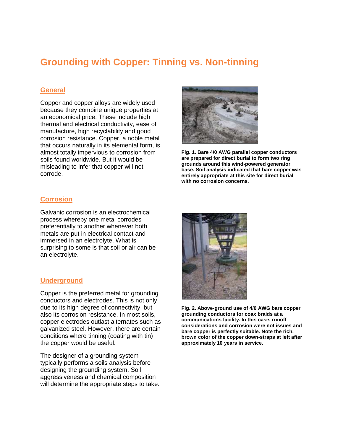# **Grounding with Copper: Tinning vs. Non-tinning**

### **General**

Copper and copper alloys are widely used because they combine unique properties at an economical price. These include high thermal and electrical conductivity, ease of manufacture, high recyclability and good corrosion resistance. Copper, a noble metal that occurs naturally in its elemental form, is almost totally impervious to corrosion from soils found worldwide. But it would be misleading to infer that copper will not corrode.



**Fig. 1. Bare 4/0 AWG parallel copper conductors are prepared for direct burial to form two ring grounds around this wind-powered generator base. Soil analysis indicated that bare copper was entirely appropriate at this site for direct burial with no corrosion concerns.**

#### **Corrosion**

Galvanic corrosion is an electrochemical process whereby one metal corrodes preferentially to another whenever both metals are put in electrical contact and immersed in an electrolyte. What is surprising to some is that soil or air can be an electrolyte.

#### **Underground**

Copper is the preferred metal for grounding conductors and electrodes. This is not only due to its high degree of connectivity, but also its corrosion resistance. In most soils, copper electrodes outlast alternates such as galvanized steel. However, there are certain conditions where tinning (coating with tin) the copper would be useful.

The designer of a grounding system typically performs a soils analysis before designing the grounding system. Soil aggressiveness and chemical composition will determine the appropriate steps to take.



**Fig. 2. Above-ground use of 4/0 AWG bare copper grounding conductors for coax braids at a communications facility. In this case, runoff considerations and corrosion were not issues and bare copper is perfectly suitable. Note the rich, brown color of the copper down-straps at left after approximately 10 years in service.**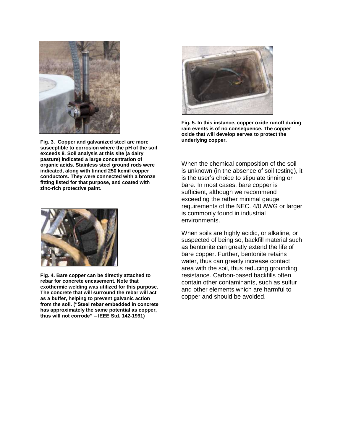

**Fig. 3. Copper and galvanized steel are more susceptible to corrosion where the pH of the soil exceeds 8. Soil analysis at this site (a dairy pasture) indicated a large concentration of organic acids. Stainless steel ground rods were indicated, along with tinned 250 kcmil copper conductors. They were connected with a bronze fitting listed for that purpose, and coated with zinc-rich protective paint.**



**Fig. 4. Bare copper can be directly attached to rebar for concrete encasement. Note that exothermic welding was utilized for this purpose. The concrete that will surround the rebar will act as a buffer, helping to prevent galvanic action from the soil. ("Steel rebar embedded in concrete has approximately the same potential as copper, thus will not corrode" – IEEE Std. 142-1991)**



**Fig. 5. In this instance, copper oxide runoff during rain events is of no consequence. The copper oxide that will develop serves to protect the underlying copper.**

When the chemical composition of the soil is unknown (in the absence of soil testing), it is the user's choice to stipulate tinning or bare. In most cases, bare copper is sufficient, although we recommend exceeding the rather minimal gauge requirements of the NEC. 4/0 AWG or larger is commonly found in industrial environments.

When soils are highly acidic, or alkaline, or suspected of being so, backfill material such as bentonite can greatly extend the life of bare copper. Further, bentonite retains water, thus can greatly increase contact area with the soil, thus reducing grounding resistance. Carbon-based backfills often contain other contaminants, such as sulfur and other elements which are harmful to copper and should be avoided.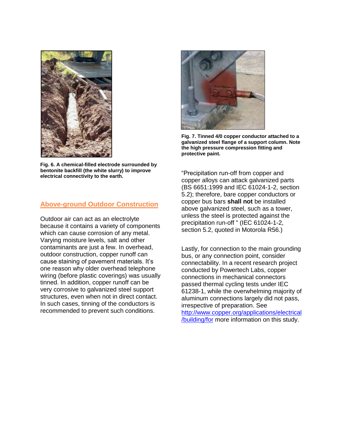

**Fig. 6. A chemical-filled electrode surrounded by bentonite backfill (the white slurry) to improve electrical connectivity to the earth.** 

#### **Above-ground Outdoor Construction**

Outdoor air can act as an electrolyte because it contains a variety of components which can cause corrosion of any metal. Varying moisture levels, salt and other contaminants are just a few. In overhead, outdoor construction, copper runoff can cause staining of pavement materials. It's one reason why older overhead telephone wiring (before plastic coverings) was usually tinned. In addition, copper runoff can be very corrosive to galvanized steel support structures, even when not in direct contact. In such cases, tinning of the conductors is recommended to prevent such conditions.



**Fig. 7. Tinned 4/0 copper conductor attached to a galvanized steel flange of a support column. Note the high pressure compression fitting and protective paint.**

"Precipitation run-off from copper and copper alloys can attack galvanized parts (BS 6651:1999 and IEC 61024-1-2, section 5.2); therefore, bare copper conductors or copper bus bars **shall not** be installed above galvanized steel, such as a tower, unless the steel is protected against the precipitation run-off " (IEC 61024-1-2, section 5.2, quoted in Motorola R56.)

Lastly, for connection to the main grounding bus, or any connection point, consider connectability. In a recent research project conducted by Powertech Labs, copper connections in mechanical connectors passed thermal cycling tests under IEC 61238-1, while the overwhelming majority of aluminum connections largely did not pass, irrespective of preparation. See [http://www.copper.org/applications/electrical](http://www.copper.org/applications/electrical/building/for) [/building/for](http://www.copper.org/applications/electrical/building/for) more information on this study.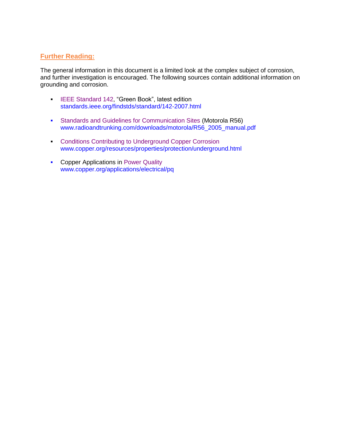## **Further Reading:**

The general information in this document is a limited look at the complex subject of corrosion, and further investigation is encouraged. The following sources contain additional information on grounding and corrosion.

- [IEEE Standard 142,](http://standards.ieee.org/findstds/standard/142-2007.html) "Green Book", latest edition [standards.ieee.org/findstds/standard/142-2007.html](http://standards.ieee.org/findstds/standard/142-2007.html)
- [Standards and Guidelines for Communication Sites](http://www.radioandtrunking.com/downloads/motorola/R56_2005_manual.pdf) (Motorola R56) [www.radioandtrunking.com/downloads/motorola/R56\\_2005\\_manual.pdf](http://www.radioandtrunking.com/downloads/motorola/R56_2005_manual.pdf)
- **[Conditions Contributing to Underground Copper Corrosion](http://www.copper.org/resources/properties/protection/underground.html)** www.copper.org/resources/properties/protection/underground.html
- **Copper Applications in [Power Quality](http://www.copper.org/applications/electrical/pq/homepage.html)** www.copper.org/applications/electrical/pq